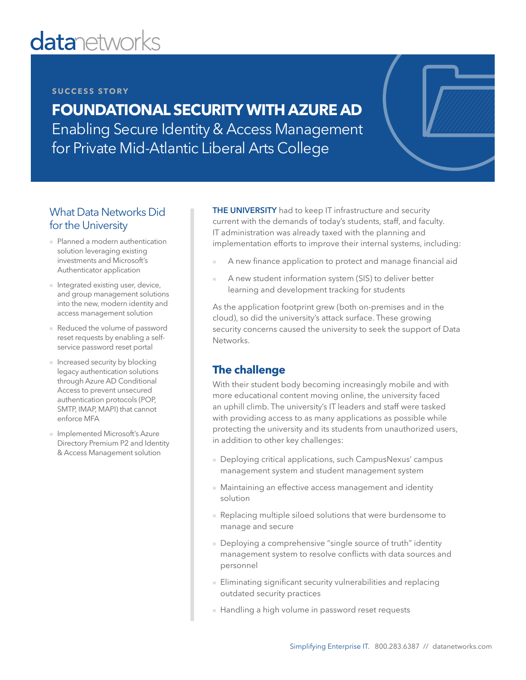# **datanetworks**

#### **SUCCESS STORY**

**FOUNDATIONAL SECURITY WITH AZURE AD** Enabling Secure Identity & Access Management for Private Mid-Atlantic Liberal Arts College

## What Data Networks Did for the University

- Planned a modern authentication solution leveraging existing investments and Microsoft's Authenticator application
- Integrated existing user, device, and group management solutions into the new, modern identity and access management solution
- Reduced the volume of password reset requests by enabling a selfservice password reset portal
- Increased security by blocking legacy authentication solutions through Azure AD Conditional Access to prevent unsecured authentication protocols (POP, SMTP, IMAP, MAPI) that cannot enforce MFA
- Implemented Microsoft's Azure Directory Premium P2 and Identity & Access Management solution

**THE UNIVERSITY** had to keep IT infrastructure and security current with the demands of today's students, staff, and faculty. IT administration was already taxed with the planning and implementation efforts to improve their internal systems, including:

- A new finance application to protect and manage financial aid
- A new student information system (SIS) to deliver better learning and development tracking for students

As the application footprint grew (both on-premises and in the cloud), so did the university's attack surface. These growing security concerns caused the university to seek the support of Data Networks.

## **The challenge**

With their student body becoming increasingly mobile and with more educational content moving online, the university faced an uphill climb. The university's IT leaders and staff were tasked with providing access to as many applications as possible while protecting the university and its students from unauthorized users, in addition to other key challenges:

- Deploying critical applications, such CampusNexus' campus management system and student management system
- Maintaining an effective access management and identity solution
- Replacing multiple siloed solutions that were burdensome to manage and secure
- Deploying a comprehensive "single source of truth" identity management system to resolve conflicts with data sources and personnel
- Eliminating significant security vulnerabilities and replacing outdated security practices
- Handling a high volume in password reset requests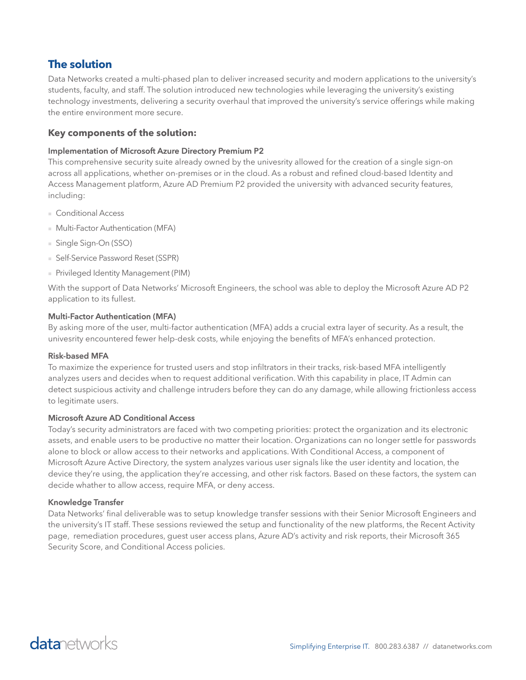## **The solution**

Data Networks created a multi-phased plan to deliver increased security and modern applications to the university's students, faculty, and staff. The solution introduced new technologies while leveraging the university's existing technology investments, delivering a security overhaul that improved the university's service offerings while making the entire environment more secure.

#### **Key components of the solution:**

#### **Implementation of Microsoft Azure Directory Premium P2**

This comprehensive security suite already owned by the univesrity allowed for the creation of a single sign-on across all applications, whether on-premises or in the cloud. As a robust and refined cloud-based Identity and Access Management platform, Azure AD Premium P2 provided the university with advanced security features, including:

- Conditional Access
- Multi-Factor Authentication (MFA)
- Single Sign-On (SSO)
- Self-Service Password Reset (SSPR)
- Privileged Identity Management (PIM)

With the support of Data Networks' Microsoft Engineers, the school was able to deploy the Microsoft Azure AD P2 application to its fullest.

#### **Multi-Factor Authentication (MFA)**

By asking more of the user, multi-factor authentication (MFA) adds a crucial extra layer of security. As a result, the univesrity encountered fewer help-desk costs, while enjoying the benefits of MFA's enhanced protection.

#### **Risk-based MFA**

To maximize the experience for trusted users and stop infiltrators in their tracks, risk-based MFA intelligently analyzes users and decides when to request additional verification. With this capability in place, IT Admin can detect suspicious activity and challenge intruders before they can do any damage, while allowing frictionless access to legitimate users.

#### **Microsoft Azure AD Conditional Access**

Today's security administrators are faced with two competing priorities: protect the organization and its electronic assets, and enable users to be productive no matter their location. Organizations can no longer settle for passwords alone to block or allow access to their networks and applications. With Conditional Access, a component of Microsoft Azure Active Directory, the system analyzes various user signals like the user identity and location, the device they're using, the application they're accessing, and other risk factors. Based on these factors, the system can decide whather to allow access, require MFA, or deny access.

#### **Knowledge Transfer**

Data Networks' final deliverable was to setup knowledge transfer sessions with their Senior Microsoft Engineers and the university's IT staff. These sessions reviewed the setup and functionality of the new platforms, the Recent Activity page, remediation procedures, guest user access plans, Azure AD's activity and risk reports, their Microsoft 365 Security Score, and Conditional Access policies.